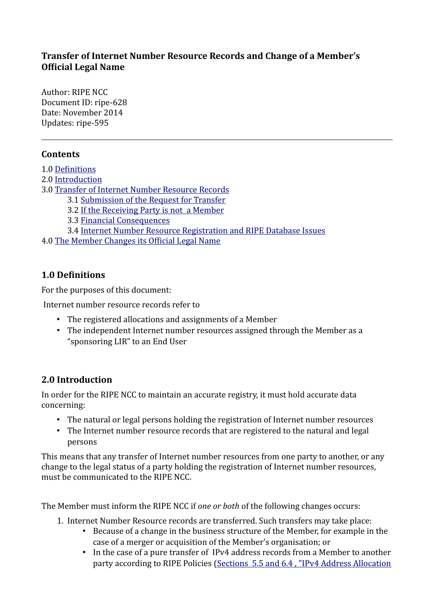### **Transfer of Internet Number Resource Records and Change of a Member's Official Legal Name**

Author: RIPE NCC Document ID: ripe-628 Date: November 2014 Updates: ripe-595

# **Contents**

- 1.0 [Definitions](#page-0-0)
- 2.0 [Introduction](#page-0-1)
- 3.0 [Transfer of Internet Number Resource Records](#page-1-1)
	- 3.1 [Submission of the Request for Transfer](#page-1-0)
	- 3.2 [If the Receiving Party is not a Member](#page-3-3)
	- 3.3 [Financial Consequences](#page-3-2)
	- 3.4 [Internet Number Resource Registration and RIPE Database Issues](#page-3-1)
- 4.0 [The Member Changes its Official Legal Name](#page-3-0)

### <span id="page-0-0"></span>**1.0 Definitions**

For the purposes of this document:

Internet number resource records refer to

- The registered allocations and assignments of a Member
- The independent Internet number resources assigned through the Member as a "sponsoring LIR" to an End User

# <span id="page-0-1"></span>**2.0 Introduction**

In order for the RIPE NCC to maintain an accurate registry, it must hold accurate data concerning:

- The natural or legal persons holding the registration of Internet number resources
- The Internet number resource records that are registered to the natural and legal persons

This means that any transfer of Internet number resources from one party to another, or any change to the legal status of a party holding the registration of Internet number resources, must be communicated to the RIPE NCC.

The Member must inform the RIPE NCC if *one or both* of the following changes occurs:

- 1. Internet Number Resource records are transferred. Such transfers may take place:
	- Because of a change in the business structure of the Member, for example in the case of a merger or acquisition of the Member's organisation; or
	- In the case of a pure transfer of IPv4 address records from a Member to another party according to RIPE Policies [\(Sections 5.5 and 6.4 , "IPv4 Address Allocation](https://www.ripe.net/ripe/docs/ipv4-policies#55)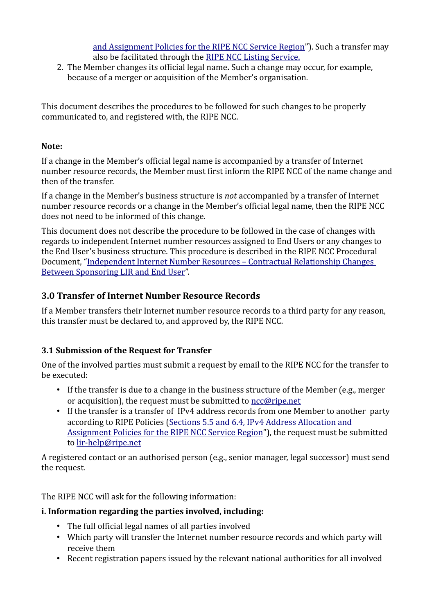[and Assignment Policies for the RIPE NCC Service Region"](https://www.ripe.net/ripe/docs/ipv4-policies#55)). Such a transfer may also be facilitated through the [RIPE NCC Listing Service.](https://www.ripe.net/lir-services/resource-management/listing)

2. The Member changes its official legal name**.** Such a change may occur, for example, because of a merger or acquisition of the Member's organisation.

This document describes the procedures to be followed for such changes to be properly communicated to, and registered with, the RIPE NCC.

### **Note:**

If a change in the Member's official legal name is accompanied by a transfer of Internet number resource records, the Member must first inform the RIPE NCC of the name change and then of the transfer.

If a change in the Member's business structure is *not* accompanied by a transfer of Internet number resource records or a change in the Member's official legal name, then the RIPE NCC does not need to be informed of this change.

This document does not describe the procedure to be followed in the case of changes with regards to independent Internet number resources assigned to End Users or any changes to the End User's business structure. This procedure is described in the RIPE NCC Procedural Document, ["Independent Internet Number Resources – Contractual Relationship Changes](https://www.ripe.net/ripe/docs/lir-end-user-contractual-changes)  [Between Sponsoring LIR and End User"](https://www.ripe.net/ripe/docs/lir-end-user-contractual-changes).

# <span id="page-1-1"></span>**3.0 Transfer of Internet Number Resource Records**

If a Member transfers their Internet number resource records to a third party for any reason, this transfer must be declared to, and approved by, the RIPE NCC.

# <span id="page-1-0"></span>**3.1 Submission of the Request for Transfer**

One of the involved parties must submit a request by email to the RIPE NCC for the transfer to be executed:

- If the transfer is due to a change in the business structure of the Member (e.g., merger or acquisition), the request must be submitted to [ncc@ripe.net](mailto:ncc@ripe.net)
- If the transfer is a transfer of IPv4 address records from one Member to another party according to RIPE Policies [\(Sections 5.5 and 6.4, IPv4 Address Allocation and](https://www.ripe.net/ripe/docs/ipv4-policies#55)  [Assignment Policies for the RIPE NCC Service Region"](https://www.ripe.net/ripe/docs/ipv4-policies#55)), the request must be submitted to [lir-help@ripe.net](mailto:lir-help@ripe.net)

A registered contact or an authorised person (e.g., senior manager, legal successor) must send the request.

The RIPE NCC will ask for the following information:

# **i. Information regarding the parties involved, including:**

- The full official legal names of all parties involved
- Which party will transfer the Internet number resource records and which party will receive them
- Recent registration papers issued by the relevant national authorities for all involved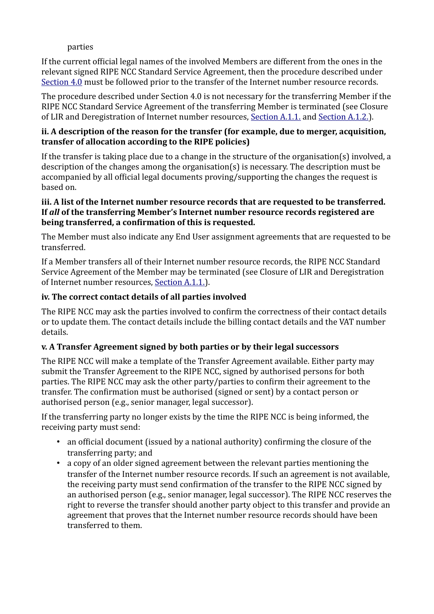#### parties

If the current official legal names of the involved Members are different from the ones in the relevant signed RIPE NCC Standard Service Agreement, then the procedure described under  [Section 4.0](#page-3-0) must be followed prior to the transfer of the Internet number resource records.

The procedure described under Section 4.0 is not necessary for the transferring Member if the RIPE NCC Standard Service Agreement of the transferring Member is terminated (see Closure of LIR and Deregistration of Internet number resources, [Section A.1.1.](https://www.ripe.net/ripe/docs/closure#11) and [Section A.1.2.\)](https://www.ripe.net/ripe/docs/closure#12).

#### **ii. A description of the reason for the transfer (for example, due to merger, acquisition, transfer of allocation according to the RIPE policies)**

If the transfer is taking place due to a change in the structure of the organisation(s) involved, a description of the changes among the organisation(s) is necessary. The description must be accompanied by all official legal documents proving/supporting the changes the request is based on.

#### **iii. A list of the Internet number resource records that are requested to be transferred. If** *all* **of the transferring Member's Internet number resource records registered are being transferred, a confirmation of this is requested.**

The Member must also indicate any End User assignment agreements that are requested to be transferred.

If a Member transfers all of their Internet number resource records, the RIPE NCC Standard Service Agreement of the Member may be terminated (see Closure of LIR and Deregistration of Internet number resources, [Section A.1.1.\)](https://www.ripe.net/ripe/docs/closure#11).

### **iv. The correct contact details of all parties involved**

The RIPE NCC may ask the parties involved to confirm the correctness of their contact details or to update them. The contact details include the billing contact details and the VAT number details.

# **v. A Transfer Agreement signed by both parties or by their legal successors**

The RIPE NCC will make a template of the Transfer Agreement available. Either party may submit the Transfer Agreement to the RIPE NCC, signed by authorised persons for both parties. The RIPE NCC may ask the other party/parties to confirm their agreement to the transfer. The confirmation must be authorised (signed or sent) by a contact person or authorised person (e.g., senior manager, legal successor).

If the transferring party no longer exists by the time the RIPE NCC is being informed, the receiving party must send:

- an official document (issued by a national authority) confirming the closure of the transferring party; and
- a copy of an older signed agreement between the relevant parties mentioning the transfer of the Internet number resource records. If such an agreement is not available, the receiving party must send confirmation of the transfer to the RIPE NCC signed by an authorised person (e.g., senior manager, legal successor). The RIPE NCC reserves the right to reverse the transfer should another party object to this transfer and provide an agreement that proves that the Internet number resource records should have been transferred to them.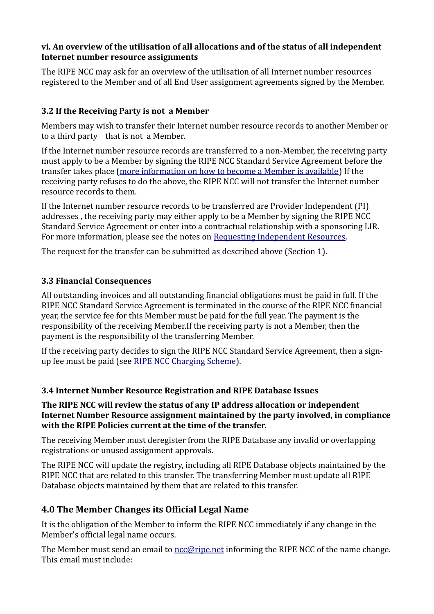#### **vi. An overview of the utilisation of all allocations and of the status of all independent Internet number resource assignments**

The RIPE NCC may ask for an overview of the utilisation of all Internet number resources registered to the Member and of all End User assignment agreements signed by the Member.

### <span id="page-3-3"></span>**3.2 If the Receiving Party is not a Member**

Members may wish to transfer their Internet number resource records to another Member or to a third party that is not a Member.

If the Internet number resource records are transferred to a non-Member, the receiving party must apply to be a Member by signing the RIPE NCC Standard Service Agreement before the transfer takes place [\(more information on how to become a Member is available\)](https://www.ripe.net/lir-services/member-support/become-a-member) If the receiving party refuses to do the above, the RIPE NCC will not transfer the Internet number resource records to them.

If the Internet number resource records to be transferred are Provider Independent (PI) addresses , the receiving party may either apply to be a Member by signing the RIPE NCC Standard Service Agreement or enter into a contractual relationship with a sponsoring LIR. For more information, please see the notes on Requesting Independent Resources.

The request for the transfer can be submitted as described above (Section 1).

#### <span id="page-3-2"></span>**3.3 Financial Consequences**

All outstanding invoices and all outstanding financial obligations must be paid in full. If the RIPE NCC Standard Service Agreement is terminated in the course of the RIPE NCC financial year, the service fee for this Member must be paid for the full year. The payment is the responsibility of the receiving Member.If the receiving party is not a Member, then the payment is the responsibility of the transferring Member.

If the receiving party decides to sign the RIPE NCC Standard Service Agreement, then a signup fee must be paid (see [RIPE NCC Charging Scheme\)](http://www.ripe.net/ripe/docs/charging).

#### <span id="page-3-1"></span>**3.4 Internet Number Resource Registration and RIPE Database Issues**

**The RIPE NCC will review the status of any IP address allocation or independent Internet Number Resource assignment maintained by the party involved, in compliance with the RIPE Policies current at the time of the transfer.**

The receiving Member must deregister from the RIPE Database any invalid or overlapping registrations or unused assignment approvals.

The RIPE NCC will update the registry, including all RIPE Database objects maintained by the RIPE NCC that are related to this transfer. The transferring Member must update all RIPE Database objects maintained by them that are related to this transfer.

# <span id="page-3-0"></span>**4.0 The Member Changes its Official Legal Name**

It is the obligation of the Member to inform the RIPE NCC immediately if any change in the Member's official legal name occurs.

The Member must send an email to [ncc@ripe.net](mailto:ncc@ripe.net) informing the RIPE NCC of the name change. This email must include: